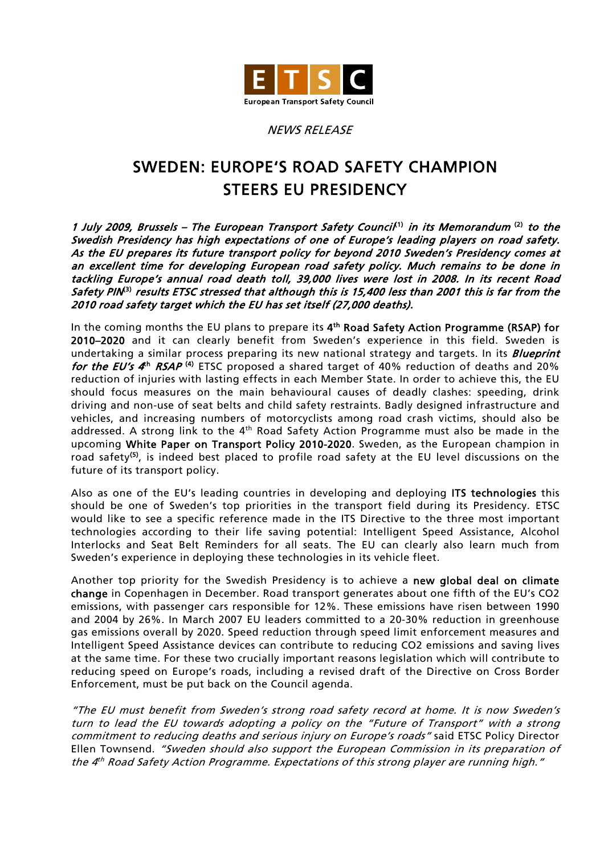

## NEWS RELEASE

## SWEDEN: EUROPE'S ROAD SAFETY CHAMPION STEERS EU PRESIDENCY

1 July 2009, Brussels – The European Transport Safety Council<sup>(1)</sup> in its Memorandum<sup>(2)</sup> to the Swedish Presidency has high expectations of one of Europe's leading players on road safety. As the EU prepares its future transport policy for beyond 2010 Sweden's Presidency comes at an excellent time for developing European road safety policy. Much remains to be done in tackling Europe's annual road death toll, 39,000 lives were lost in 2008. In its recent Road Safety PIN<sup>3)</sup> results ETSC stressed that although this is 15,400 less than 2001 this is far from the 2010 road safety target which the EU has set itself (27,000 deaths).

In the coming months the EU plans to prepare its 4<sup>th</sup> Road Safety Action Programme (RSAP) for 2010–2020 and it can clearly benefit from Sweden's experience in this field. Sweden is undertaking a similar process preparing its new national strategy and targets. In its *Blueprint* for the EU's  $4^{\text{th}}$  RSAP<sup>(4)</sup> ETSC proposed a shared target of 40% reduction of deaths and 20% reduction of injuries with lasting effects in each Member State. In order to achieve this, the EU should focus measures on the main behavioural causes of deadly clashes: speeding, drink driving and non-use of seat belts and child safety restraints. Badly designed infrastructure and vehicles, and increasing numbers of motorcyclists among road crash victims, should also be addressed. A strong link to the 4<sup>th</sup> Road Safety Action Programme must also be made in the upcoming White Paper on Transport Policy 2010-2020. Sweden, as the European champion in road safety<sup>(5)</sup>, is indeed best placed to profile road safety at the EU level discussions on the future of its transport policy.

Also as one of the EU's leading countries in developing and deploying ITS technologies this should be one of Sweden's top priorities in the transport field during its Presidency. ETSC would like to see a specific reference made in the ITS Directive to the three most important technologies according to their life saving potential: Intelligent Speed Assistance, Alcohol Interlocks and Seat Belt Reminders for all seats. The EU can clearly also learn much from Sweden's experience in deploying these technologies in its vehicle fleet.

Another top priority for the Swedish Presidency is to achieve a new global deal on climate change in Copenhagen in December. Road transport generates about one fifth of the EU's CO2 emissions, with passenger cars responsible for 12%. These emissions have risen between 1990 and 2004 by 26%. In March 2007 EU leaders committed to a 20-30% reduction in greenhouse gas emissions overall by 2020. Speed reduction through speed limit enforcement measures and Intelligent Speed Assistance devices can contribute to reducing CO2 emissions and saving lives at the same time. For these two crucially important reasons legislation which will contribute to reducing speed on Europe's roads, including a revised draft of the Directive on Cross Border Enforcement, must be put back on the Council agenda.

"The EU must benefit from Sweden's strong road safety record at home. It is now Sweden's turn to lead the EU towards adopting a policy on the "Future of Transport" with a strong commitment to reducing deaths and serious injury on Europe's roads" said ETSC Policy Director Ellen Townsend. "Sweden should also support the European Commission in its preparation of the 4<sup>th</sup> Road Safety Action Programme. Expectations of this strong player are running high."